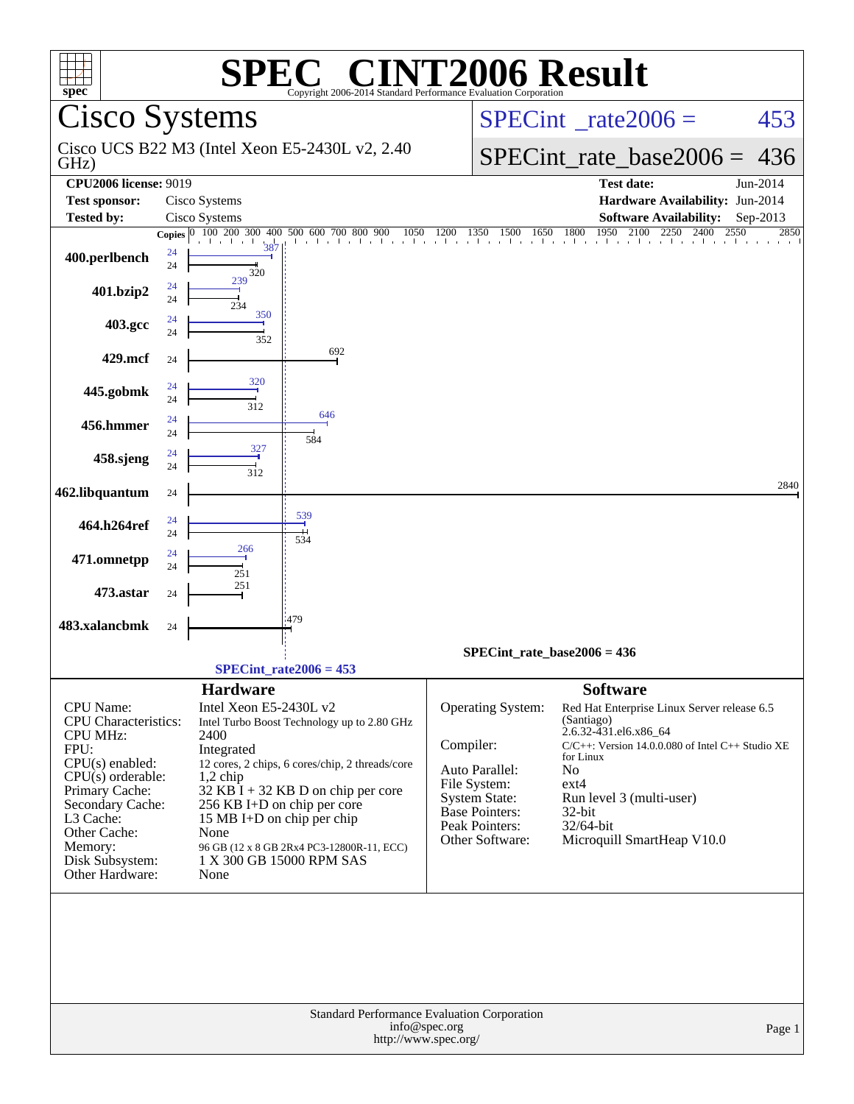| <b>C® CINT2006 Result</b><br><b>SPE</b><br>$spec^*$<br>Copyright 2006-2014 Standard Performance Evaluation Corporation                                                                                                              |                                                                                                                                                                                                                                                                                                                                                                               |                                                                                                                                                                                                                                                                                                                                                                                                                                             |  |  |  |  |  |  |  |  |
|-------------------------------------------------------------------------------------------------------------------------------------------------------------------------------------------------------------------------------------|-------------------------------------------------------------------------------------------------------------------------------------------------------------------------------------------------------------------------------------------------------------------------------------------------------------------------------------------------------------------------------|---------------------------------------------------------------------------------------------------------------------------------------------------------------------------------------------------------------------------------------------------------------------------------------------------------------------------------------------------------------------------------------------------------------------------------------------|--|--|--|--|--|--|--|--|
|                                                                                                                                                                                                                                     | <b>Cisco Systems</b>                                                                                                                                                                                                                                                                                                                                                          | $SPECint^{\circ}$ <sub>_rate2006</sub> =<br>453                                                                                                                                                                                                                                                                                                                                                                                             |  |  |  |  |  |  |  |  |
| GHz)                                                                                                                                                                                                                                | Cisco UCS B22 M3 (Intel Xeon E5-2430L v2, 2.40)                                                                                                                                                                                                                                                                                                                               | $SPECint_rate_base2006 =$<br>436                                                                                                                                                                                                                                                                                                                                                                                                            |  |  |  |  |  |  |  |  |
| <b>CPU2006 license: 9019</b>                                                                                                                                                                                                        |                                                                                                                                                                                                                                                                                                                                                                               | Jun-2014<br><b>Test date:</b>                                                                                                                                                                                                                                                                                                                                                                                                               |  |  |  |  |  |  |  |  |
| <b>Test sponsor:</b>                                                                                                                                                                                                                | Cisco Systems                                                                                                                                                                                                                                                                                                                                                                 | Hardware Availability: Jun-2014                                                                                                                                                                                                                                                                                                                                                                                                             |  |  |  |  |  |  |  |  |
| <b>Tested by:</b>                                                                                                                                                                                                                   | Cisco Systems                                                                                                                                                                                                                                                                                                                                                                 | <b>Software Availability:</b><br>Sep-2013                                                                                                                                                                                                                                                                                                                                                                                                   |  |  |  |  |  |  |  |  |
| 400.perlbench                                                                                                                                                                                                                       | <b>Copies</b> $\begin{bmatrix} 0 & 100 & 200 & 300 & 400 & 500 & 600 & 700 & 800 & 900 & 1050 & 1200 \end{bmatrix}$<br>24<br>24<br>320<br>239                                                                                                                                                                                                                                 | $\begin{array}{ccccccccc}\n 30 & 1500 & 1650 & 1800 & 1950 & 2100 & 2 \\  & 1 & 1 & 1 & 1 & 1\n \end{array}$<br>2250<br>2400<br>2550<br>2850<br>1350                                                                                                                                                                                                                                                                                        |  |  |  |  |  |  |  |  |
| 401.bzip2                                                                                                                                                                                                                           | 24<br>24<br>234                                                                                                                                                                                                                                                                                                                                                               |                                                                                                                                                                                                                                                                                                                                                                                                                                             |  |  |  |  |  |  |  |  |
| 403.gcc                                                                                                                                                                                                                             | 350<br>24<br>24<br>352                                                                                                                                                                                                                                                                                                                                                        |                                                                                                                                                                                                                                                                                                                                                                                                                                             |  |  |  |  |  |  |  |  |
| 429.mcf                                                                                                                                                                                                                             | 692<br>24                                                                                                                                                                                                                                                                                                                                                                     |                                                                                                                                                                                                                                                                                                                                                                                                                                             |  |  |  |  |  |  |  |  |
| 445.gobmk                                                                                                                                                                                                                           | 320<br>24<br>24<br>312                                                                                                                                                                                                                                                                                                                                                        |                                                                                                                                                                                                                                                                                                                                                                                                                                             |  |  |  |  |  |  |  |  |
| 456.hmmer                                                                                                                                                                                                                           | 646<br>24<br>24<br>584                                                                                                                                                                                                                                                                                                                                                        |                                                                                                                                                                                                                                                                                                                                                                                                                                             |  |  |  |  |  |  |  |  |
| 458.sjeng                                                                                                                                                                                                                           | 327<br>24<br>24<br>312                                                                                                                                                                                                                                                                                                                                                        |                                                                                                                                                                                                                                                                                                                                                                                                                                             |  |  |  |  |  |  |  |  |
| 462.libquantum                                                                                                                                                                                                                      | 24                                                                                                                                                                                                                                                                                                                                                                            | 2840                                                                                                                                                                                                                                                                                                                                                                                                                                        |  |  |  |  |  |  |  |  |
| 464.h264ref                                                                                                                                                                                                                         | 539<br>24<br>24<br>534                                                                                                                                                                                                                                                                                                                                                        |                                                                                                                                                                                                                                                                                                                                                                                                                                             |  |  |  |  |  |  |  |  |
| 471.omnetpp                                                                                                                                                                                                                         | 266<br>24<br>24<br>251                                                                                                                                                                                                                                                                                                                                                        |                                                                                                                                                                                                                                                                                                                                                                                                                                             |  |  |  |  |  |  |  |  |
| 473.astar                                                                                                                                                                                                                           | 251<br>24                                                                                                                                                                                                                                                                                                                                                                     |                                                                                                                                                                                                                                                                                                                                                                                                                                             |  |  |  |  |  |  |  |  |
| 483.xalancbmk                                                                                                                                                                                                                       | :479<br>24                                                                                                                                                                                                                                                                                                                                                                    |                                                                                                                                                                                                                                                                                                                                                                                                                                             |  |  |  |  |  |  |  |  |
|                                                                                                                                                                                                                                     | $SPECint_rate2006 = 453$                                                                                                                                                                                                                                                                                                                                                      | SPECint rate base $2006 = 436$                                                                                                                                                                                                                                                                                                                                                                                                              |  |  |  |  |  |  |  |  |
| CPU Name:<br><b>CPU</b> Characteristics:<br><b>CPU MHz:</b><br>FPU:<br>$CPU(s)$ enabled:<br>$CPU(s)$ orderable:<br>Primary Cache:<br>Secondary Cache:<br>L3 Cache:<br>Other Cache:<br>Memory:<br>Disk Subsystem:<br>Other Hardware: | <b>Hardware</b><br>Intel Xeon E5-2430L v2<br>Intel Turbo Boost Technology up to 2.80 GHz<br>2400<br>Integrated<br>12 cores, 2 chips, 6 cores/chip, 2 threads/core<br>$1,2$ chip<br>$32$ KB I + 32 KB D on chip per core<br>256 KB I+D on chip per core<br>15 MB I+D on chip per chip<br>None<br>96 GB (12 x 8 GB 2Rx4 PC3-12800R-11, ECC)<br>1 X 300 GB 15000 RPM SAS<br>None | <b>Software</b><br>Operating System:<br>Red Hat Enterprise Linux Server release 6.5<br>(Santiago)<br>2.6.32-431.el6.x86_64<br>Compiler:<br>$C/C++$ : Version 14.0.0.080 of Intel $C++$ Studio XE<br>for Linux<br>Auto Parallel:<br>No<br>File System:<br>$ext{4}$<br><b>System State:</b><br>Run level 3 (multi-user)<br><b>Base Pointers:</b><br>$32$ -bit<br>Peak Pointers:<br>32/64-bit<br>Microquill SmartHeap V10.0<br>Other Software: |  |  |  |  |  |  |  |  |
|                                                                                                                                                                                                                                     | Standard Performance Evaluation Corporation<br>info@spec.org<br>http://www.spec.org/                                                                                                                                                                                                                                                                                          | Page 1                                                                                                                                                                                                                                                                                                                                                                                                                                      |  |  |  |  |  |  |  |  |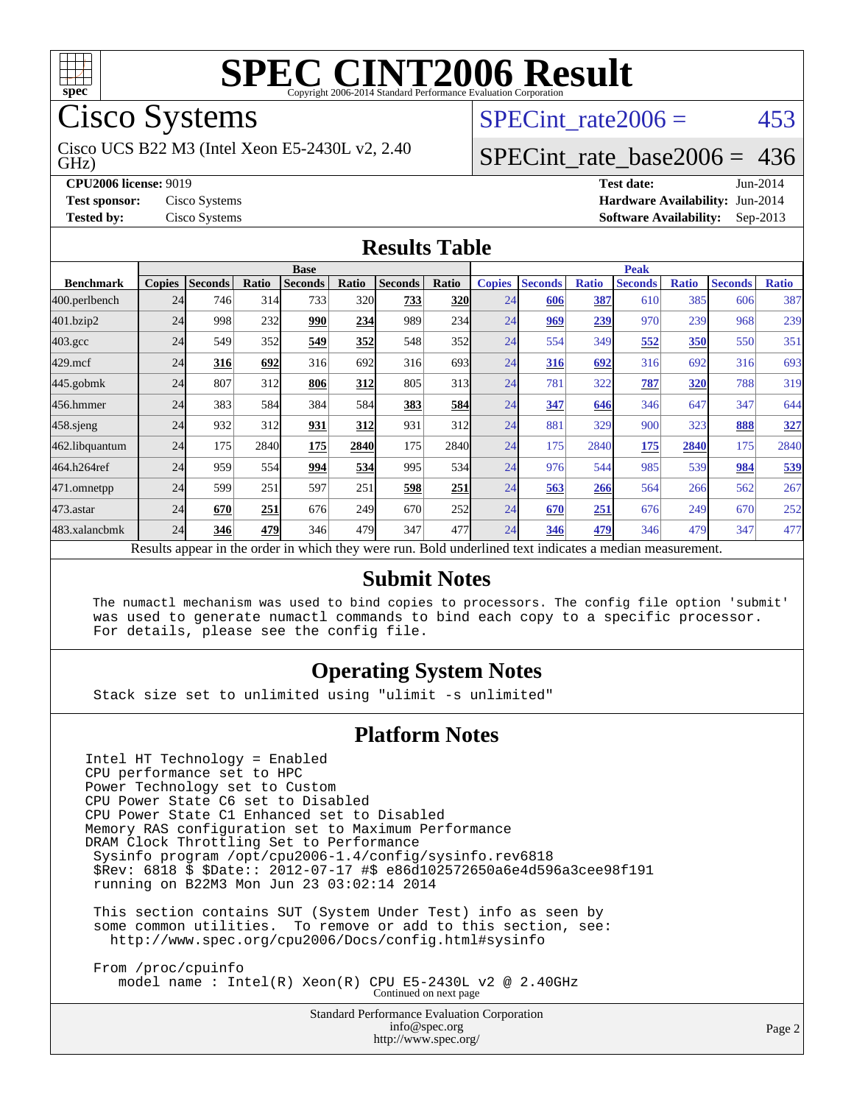

Cisco Systems

GHz) Cisco UCS B22 M3 (Intel Xeon E5-2430L v2, 2.40 SPECint rate $2006 = 453$ 

### [SPECint\\_rate\\_base2006 =](http://www.spec.org/auto/cpu2006/Docs/result-fields.html#SPECintratebase2006) 436

**[CPU2006 license:](http://www.spec.org/auto/cpu2006/Docs/result-fields.html#CPU2006license)** 9019 **[Test date:](http://www.spec.org/auto/cpu2006/Docs/result-fields.html#Testdate)** Jun-2014 **[Test sponsor:](http://www.spec.org/auto/cpu2006/Docs/result-fields.html#Testsponsor)** Cisco Systems **[Hardware Availability:](http://www.spec.org/auto/cpu2006/Docs/result-fields.html#HardwareAvailability)** Jun-2014 **[Tested by:](http://www.spec.org/auto/cpu2006/Docs/result-fields.html#Testedby)** Cisco Systems **[Software Availability:](http://www.spec.org/auto/cpu2006/Docs/result-fields.html#SoftwareAvailability)** Sep-2013

#### **[Results Table](http://www.spec.org/auto/cpu2006/Docs/result-fields.html#ResultsTable)**

|                                                                                                          | <b>Base</b>   |                |       |                |       |                |            | <b>Peak</b>   |                |              |                |              |                |              |
|----------------------------------------------------------------------------------------------------------|---------------|----------------|-------|----------------|-------|----------------|------------|---------------|----------------|--------------|----------------|--------------|----------------|--------------|
| <b>Benchmark</b>                                                                                         | <b>Copies</b> | <b>Seconds</b> | Ratio | <b>Seconds</b> | Ratio | <b>Seconds</b> | Ratio      | <b>Copies</b> | <b>Seconds</b> | <b>Ratio</b> | <b>Seconds</b> | <b>Ratio</b> | <b>Seconds</b> | <b>Ratio</b> |
| 400.perlbench                                                                                            | 24            | 746            | 314   | 733            | 320   | 733            | <b>320</b> | 24            | 606            | 387          | 610            | 385          | 606            | 387          |
| 401.bzip2                                                                                                | 24            | 998            | 232   | 990            | 234   | 989            | 234        | 24            | 969            | 239          | 970            | 239          | 968            | 239          |
| $403.\mathrm{gcc}$                                                                                       | 24            | 549            | 352   | 549            | 352   | 548            | 352        | 24            | 554            | 349          | 552            | <b>350</b>   | 550            | 351          |
| $429$ .mcf                                                                                               | 24            | 316            | 692   | 316            | 692   | 316            | 693I       | 24            | 316            | 692          | 316            | 692          | 316            | 693          |
| $445$ .gobmk                                                                                             | 24            | 807            | 312   | 806            | 312   | 805            | 313        | 24            | 781            | 322          | 787            | 320          | 788            | 319          |
| 456.hmmer                                                                                                | 24            | 383            | 584   | 384            | 584   | 383            | 584        | 24            | 347            | 646          | 346            | 647          | 347            | 644          |
| 458 sjeng                                                                                                | 24            | 932            | 312   | 931            | 312   | 931            | 312l       | 24            | 881            | 329          | 900            | 323          | 888            | 327          |
| 462.libquantum                                                                                           | 24            | 175            | 2840  | 175            | 2840  | 175            | 2840       | 24            | 175            | 2840         | 175            | 2840         | 175            | 2840         |
| 464.h264ref                                                                                              | 24            | 959            | 554   | 994            | 534   | 995            | 534        | 24            | 976            | 544          | 985            | 539          | 984            | 539          |
| 471.omnetpp                                                                                              | 24            | 599            | 251   | 597            | 251   | 598            | 251        | 24            | 563            | 266          | 564            | 266          | 562            | 267          |
| $473.$ astar                                                                                             | 24            | 670            | 251   | 676            | 249   | 670            | 252        | 24            | 670            | 251          | 676            | 249          | 670            | 252          |
| 483.xalancbmk                                                                                            | 24            | 346            | 479   | 346            | 479   | 347            | 477        | 24            | 346            | 479          | 346            | 479          | 347            | 477          |
| Results appear in the order in which they were run. Bold underlined text indicates a median measurement. |               |                |       |                |       |                |            |               |                |              |                |              |                |              |

#### **[Submit Notes](http://www.spec.org/auto/cpu2006/Docs/result-fields.html#SubmitNotes)**

 The numactl mechanism was used to bind copies to processors. The config file option 'submit' was used to generate numactl commands to bind each copy to a specific processor. For details, please see the config file.

#### **[Operating System Notes](http://www.spec.org/auto/cpu2006/Docs/result-fields.html#OperatingSystemNotes)**

Stack size set to unlimited using "ulimit -s unlimited"

#### **[Platform Notes](http://www.spec.org/auto/cpu2006/Docs/result-fields.html#PlatformNotes)**

Intel HT Technology = Enabled CPU performance set to HPC Power Technology set to Custom CPU Power State C6 set to Disabled CPU Power State C1 Enhanced set to Disabled Memory RAS configuration set to Maximum Performance DRAM Clock Throttling Set to Performance Sysinfo program /opt/cpu2006-1.4/config/sysinfo.rev6818 \$Rev: 6818 \$ \$Date:: 2012-07-17 #\$ e86d102572650a6e4d596a3cee98f191 running on B22M3 Mon Jun 23 03:02:14 2014

 This section contains SUT (System Under Test) info as seen by some common utilities. To remove or add to this section, see: <http://www.spec.org/cpu2006/Docs/config.html#sysinfo>

 From /proc/cpuinfo model name : Intel(R) Xeon(R) CPU E5-2430L v2 @ 2.40GHz Continued on next page

> Standard Performance Evaluation Corporation [info@spec.org](mailto:info@spec.org) <http://www.spec.org/>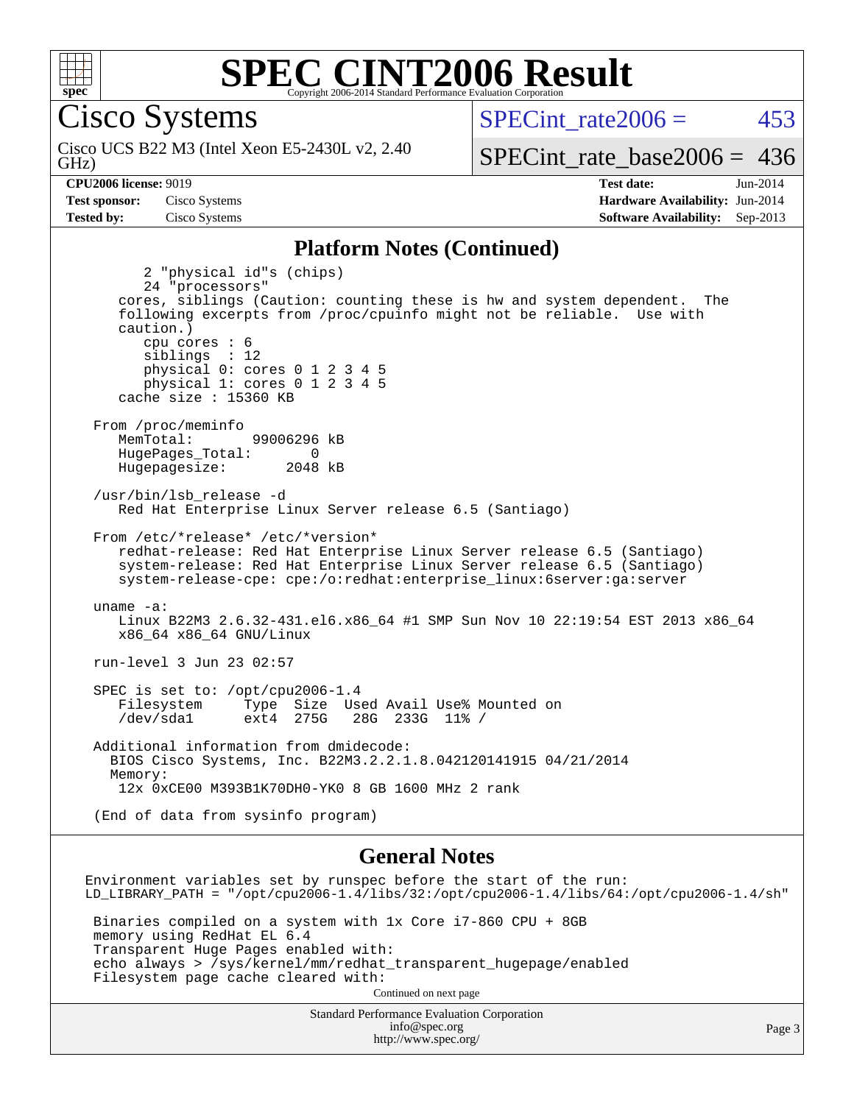

Cisco Systems

GHz) Cisco UCS B22 M3 (Intel Xeon E5-2430L v2, 2.40 SPECint rate $2006 = 453$ 

[SPECint\\_rate\\_base2006 =](http://www.spec.org/auto/cpu2006/Docs/result-fields.html#SPECintratebase2006) 436

**[CPU2006 license:](http://www.spec.org/auto/cpu2006/Docs/result-fields.html#CPU2006license)** 9019 **[Test date:](http://www.spec.org/auto/cpu2006/Docs/result-fields.html#Testdate)** Jun-2014 **[Test sponsor:](http://www.spec.org/auto/cpu2006/Docs/result-fields.html#Testsponsor)** Cisco Systems **[Hardware Availability:](http://www.spec.org/auto/cpu2006/Docs/result-fields.html#HardwareAvailability)** Jun-2014 **[Tested by:](http://www.spec.org/auto/cpu2006/Docs/result-fields.html#Testedby)** Cisco Systems **[Software Availability:](http://www.spec.org/auto/cpu2006/Docs/result-fields.html#SoftwareAvailability)** Sep-2013

#### **[Platform Notes \(Continued\)](http://www.spec.org/auto/cpu2006/Docs/result-fields.html#PlatformNotes)**

 2 "physical id"s (chips) 24 "processors" cores, siblings (Caution: counting these is hw and system dependent. The following excerpts from /proc/cpuinfo might not be reliable. Use with caution.) cpu cores : 6 siblings : 12 physical 0: cores 0 1 2 3 4 5 physical 1: cores 0 1 2 3 4 5 cache size : 15360 KB From /proc/meminfo MemTotal: 99006296 kB HugePages\_Total: 0<br>Hugepagesize: 2048 kB Hugepagesize: /usr/bin/lsb\_release -d Red Hat Enterprise Linux Server release 6.5 (Santiago) From /etc/\*release\* /etc/\*version\* redhat-release: Red Hat Enterprise Linux Server release 6.5 (Santiago) system-release: Red Hat Enterprise Linux Server release 6.5 (Santiago) system-release-cpe: cpe:/o:redhat:enterprise\_linux:6server:ga:server uname -a: Linux B22M3 2.6.32-431.el6.x86\_64 #1 SMP Sun Nov 10 22:19:54 EST 2013 x86\_64 x86\_64 x86\_64 GNU/Linux run-level 3 Jun 23 02:57 SPEC is set to: /opt/cpu2006-1.4 Filesystem Type Size Used Avail Use% Mounted on<br>
/dev/sdal ext4 275G 28G 233G 11% / /dev/sda1 ext4 275G 28G 233G 11% / Additional information from dmidecode: BIOS Cisco Systems, Inc. B22M3.2.2.1.8.042120141915 04/21/2014 Memory: 12x 0xCE00 M393B1K70DH0-YK0 8 GB 1600 MHz 2 rank (End of data from sysinfo program)

#### **[General Notes](http://www.spec.org/auto/cpu2006/Docs/result-fields.html#GeneralNotes)**

Environment variables set by runspec before the start of the run: LD\_LIBRARY\_PATH = "/opt/cpu2006-1.4/libs/32:/opt/cpu2006-1.4/libs/64:/opt/cpu2006-1.4/sh" Binaries compiled on a system with 1x Core i7-860 CPU + 8GB memory using RedHat EL 6.4 Transparent Huge Pages enabled with: echo always > /sys/kernel/mm/redhat\_transparent\_hugepage/enabled Filesystem page cache cleared with: Continued on next page

Standard Performance Evaluation Corporation [info@spec.org](mailto:info@spec.org) <http://www.spec.org/>

Page 3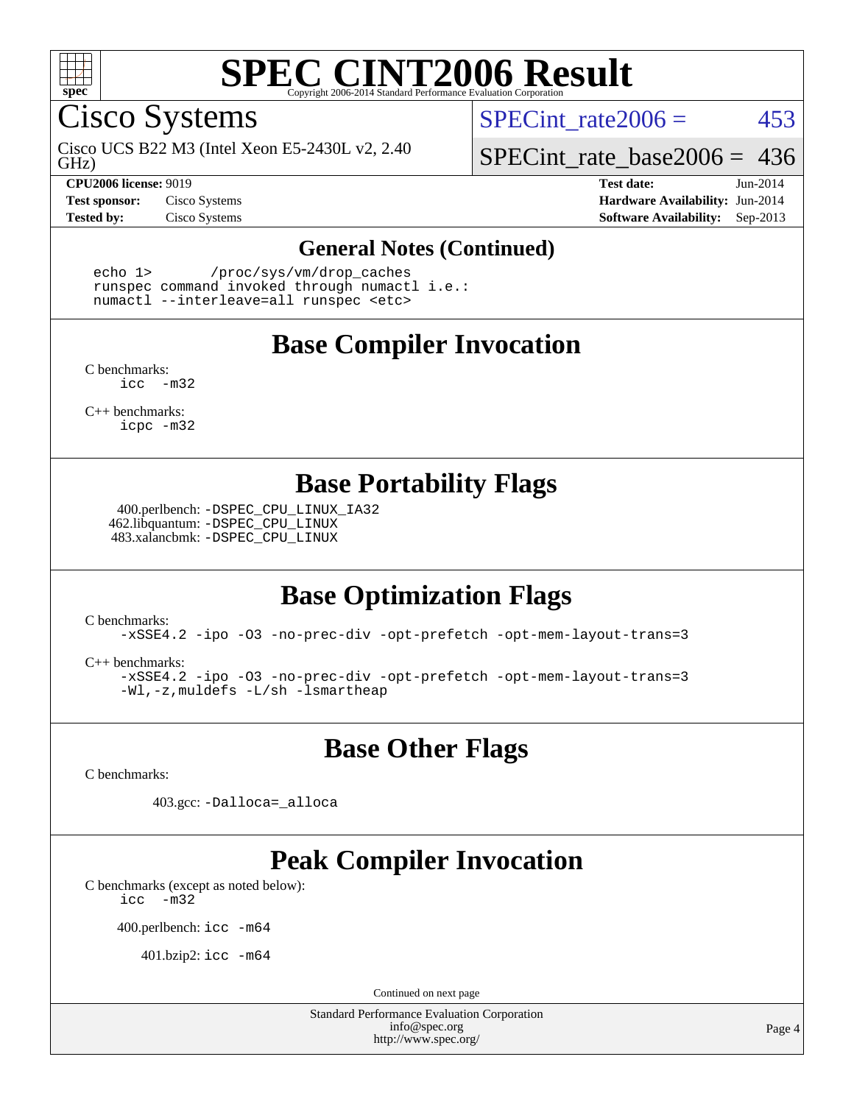

Cisco Systems

GHz) Cisco UCS B22 M3 (Intel Xeon E5-2430L v2, 2.40

**[CPU2006 license:](http://www.spec.org/auto/cpu2006/Docs/result-fields.html#CPU2006license)** 9019 **[Test date:](http://www.spec.org/auto/cpu2006/Docs/result-fields.html#Testdate)** Jun-2014

SPECint rate $2006 = 453$ 

[SPECint\\_rate\\_base2006 =](http://www.spec.org/auto/cpu2006/Docs/result-fields.html#SPECintratebase2006) 436

**[Test sponsor:](http://www.spec.org/auto/cpu2006/Docs/result-fields.html#Testsponsor)** Cisco Systems **[Hardware Availability:](http://www.spec.org/auto/cpu2006/Docs/result-fields.html#HardwareAvailability)** Jun-2014 **[Tested by:](http://www.spec.org/auto/cpu2006/Docs/result-fields.html#Testedby)** Cisco Systems **[Software Availability:](http://www.spec.org/auto/cpu2006/Docs/result-fields.html#SoftwareAvailability)** Sep-2013

#### **[General Notes \(Continued\)](http://www.spec.org/auto/cpu2006/Docs/result-fields.html#GeneralNotes)**

 echo 1> /proc/sys/vm/drop\_caches runspec command invoked through numactl i.e.: numactl --interleave=all runspec <etc>

### **[Base Compiler Invocation](http://www.spec.org/auto/cpu2006/Docs/result-fields.html#BaseCompilerInvocation)**

[C benchmarks](http://www.spec.org/auto/cpu2006/Docs/result-fields.html#Cbenchmarks): [icc -m32](http://www.spec.org/cpu2006/results/res2014q3/cpu2006-20140903-31194.flags.html#user_CCbase_intel_icc_5ff4a39e364c98233615fdd38438c6f2)

[C++ benchmarks:](http://www.spec.org/auto/cpu2006/Docs/result-fields.html#CXXbenchmarks) [icpc -m32](http://www.spec.org/cpu2006/results/res2014q3/cpu2006-20140903-31194.flags.html#user_CXXbase_intel_icpc_4e5a5ef1a53fd332b3c49e69c3330699)

### **[Base Portability Flags](http://www.spec.org/auto/cpu2006/Docs/result-fields.html#BasePortabilityFlags)**

 400.perlbench: [-DSPEC\\_CPU\\_LINUX\\_IA32](http://www.spec.org/cpu2006/results/res2014q3/cpu2006-20140903-31194.flags.html#b400.perlbench_baseCPORTABILITY_DSPEC_CPU_LINUX_IA32) 462.libquantum: [-DSPEC\\_CPU\\_LINUX](http://www.spec.org/cpu2006/results/res2014q3/cpu2006-20140903-31194.flags.html#b462.libquantum_baseCPORTABILITY_DSPEC_CPU_LINUX) 483.xalancbmk: [-DSPEC\\_CPU\\_LINUX](http://www.spec.org/cpu2006/results/res2014q3/cpu2006-20140903-31194.flags.html#b483.xalancbmk_baseCXXPORTABILITY_DSPEC_CPU_LINUX)

## **[Base Optimization Flags](http://www.spec.org/auto/cpu2006/Docs/result-fields.html#BaseOptimizationFlags)**

[C benchmarks](http://www.spec.org/auto/cpu2006/Docs/result-fields.html#Cbenchmarks):

[-xSSE4.2](http://www.spec.org/cpu2006/results/res2014q3/cpu2006-20140903-31194.flags.html#user_CCbase_f-xSSE42_f91528193cf0b216347adb8b939d4107) [-ipo](http://www.spec.org/cpu2006/results/res2014q3/cpu2006-20140903-31194.flags.html#user_CCbase_f-ipo) [-O3](http://www.spec.org/cpu2006/results/res2014q3/cpu2006-20140903-31194.flags.html#user_CCbase_f-O3) [-no-prec-div](http://www.spec.org/cpu2006/results/res2014q3/cpu2006-20140903-31194.flags.html#user_CCbase_f-no-prec-div) [-opt-prefetch](http://www.spec.org/cpu2006/results/res2014q3/cpu2006-20140903-31194.flags.html#user_CCbase_f-opt-prefetch) [-opt-mem-layout-trans=3](http://www.spec.org/cpu2006/results/res2014q3/cpu2006-20140903-31194.flags.html#user_CCbase_f-opt-mem-layout-trans_a7b82ad4bd7abf52556d4961a2ae94d5)

[C++ benchmarks:](http://www.spec.org/auto/cpu2006/Docs/result-fields.html#CXXbenchmarks)

[-xSSE4.2](http://www.spec.org/cpu2006/results/res2014q3/cpu2006-20140903-31194.flags.html#user_CXXbase_f-xSSE42_f91528193cf0b216347adb8b939d4107) [-ipo](http://www.spec.org/cpu2006/results/res2014q3/cpu2006-20140903-31194.flags.html#user_CXXbase_f-ipo) [-O3](http://www.spec.org/cpu2006/results/res2014q3/cpu2006-20140903-31194.flags.html#user_CXXbase_f-O3) [-no-prec-div](http://www.spec.org/cpu2006/results/res2014q3/cpu2006-20140903-31194.flags.html#user_CXXbase_f-no-prec-div) [-opt-prefetch](http://www.spec.org/cpu2006/results/res2014q3/cpu2006-20140903-31194.flags.html#user_CXXbase_f-opt-prefetch) [-opt-mem-layout-trans=3](http://www.spec.org/cpu2006/results/res2014q3/cpu2006-20140903-31194.flags.html#user_CXXbase_f-opt-mem-layout-trans_a7b82ad4bd7abf52556d4961a2ae94d5) [-Wl,-z,muldefs](http://www.spec.org/cpu2006/results/res2014q3/cpu2006-20140903-31194.flags.html#user_CXXbase_link_force_multiple1_74079c344b956b9658436fd1b6dd3a8a) [-L/sh -lsmartheap](http://www.spec.org/cpu2006/results/res2014q3/cpu2006-20140903-31194.flags.html#user_CXXbase_SmartHeap_32f6c82aa1ed9c52345d30cf6e4a0499)

**[Base Other Flags](http://www.spec.org/auto/cpu2006/Docs/result-fields.html#BaseOtherFlags)**

[C benchmarks](http://www.spec.org/auto/cpu2006/Docs/result-fields.html#Cbenchmarks):

403.gcc: [-Dalloca=\\_alloca](http://www.spec.org/cpu2006/results/res2014q3/cpu2006-20140903-31194.flags.html#b403.gcc_baseEXTRA_CFLAGS_Dalloca_be3056838c12de2578596ca5467af7f3)

## **[Peak Compiler Invocation](http://www.spec.org/auto/cpu2006/Docs/result-fields.html#PeakCompilerInvocation)**

[C benchmarks \(except as noted below\)](http://www.spec.org/auto/cpu2006/Docs/result-fields.html#Cbenchmarksexceptasnotedbelow): [icc -m32](http://www.spec.org/cpu2006/results/res2014q3/cpu2006-20140903-31194.flags.html#user_CCpeak_intel_icc_5ff4a39e364c98233615fdd38438c6f2)

400.perlbench: [icc -m64](http://www.spec.org/cpu2006/results/res2014q3/cpu2006-20140903-31194.flags.html#user_peakCCLD400_perlbench_intel_icc_64bit_bda6cc9af1fdbb0edc3795bac97ada53)

401.bzip2: [icc -m64](http://www.spec.org/cpu2006/results/res2014q3/cpu2006-20140903-31194.flags.html#user_peakCCLD401_bzip2_intel_icc_64bit_bda6cc9af1fdbb0edc3795bac97ada53)

Continued on next page

Standard Performance Evaluation Corporation [info@spec.org](mailto:info@spec.org) <http://www.spec.org/>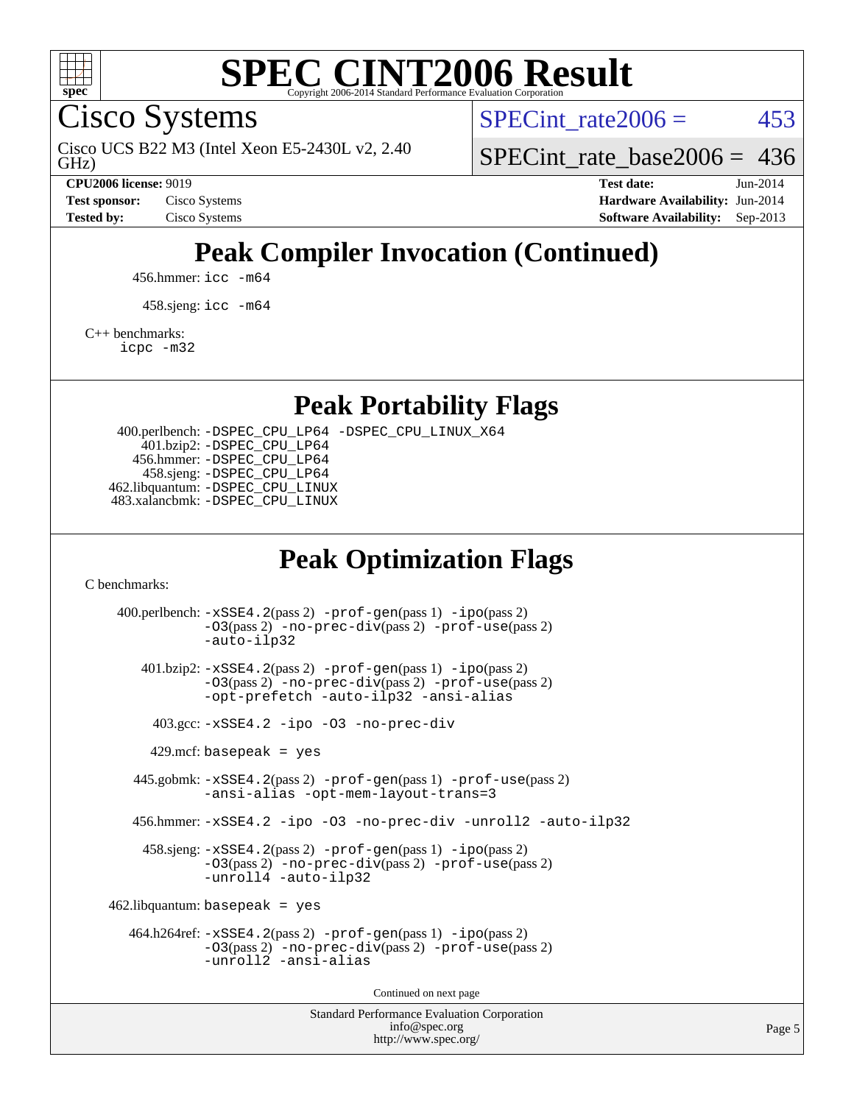

Cisco Systems

GHz) Cisco UCS B22 M3 (Intel Xeon E5-2430L v2, 2.40 SPECint rate $2006 = 453$ 

[SPECint\\_rate\\_base2006 =](http://www.spec.org/auto/cpu2006/Docs/result-fields.html#SPECintratebase2006) 436

**[CPU2006 license:](http://www.spec.org/auto/cpu2006/Docs/result-fields.html#CPU2006license)** 9019 **[Test date:](http://www.spec.org/auto/cpu2006/Docs/result-fields.html#Testdate)** Jun-2014 **[Test sponsor:](http://www.spec.org/auto/cpu2006/Docs/result-fields.html#Testsponsor)** Cisco Systems **[Hardware Availability:](http://www.spec.org/auto/cpu2006/Docs/result-fields.html#HardwareAvailability)** Jun-2014 **[Tested by:](http://www.spec.org/auto/cpu2006/Docs/result-fields.html#Testedby)** Cisco Systems **[Software Availability:](http://www.spec.org/auto/cpu2006/Docs/result-fields.html#SoftwareAvailability)** Sep-2013

# **[Peak Compiler Invocation \(Continued\)](http://www.spec.org/auto/cpu2006/Docs/result-fields.html#PeakCompilerInvocation)**

456.hmmer: [icc -m64](http://www.spec.org/cpu2006/results/res2014q3/cpu2006-20140903-31194.flags.html#user_peakCCLD456_hmmer_intel_icc_64bit_bda6cc9af1fdbb0edc3795bac97ada53)

458.sjeng: [icc -m64](http://www.spec.org/cpu2006/results/res2014q3/cpu2006-20140903-31194.flags.html#user_peakCCLD458_sjeng_intel_icc_64bit_bda6cc9af1fdbb0edc3795bac97ada53)

[C++ benchmarks:](http://www.spec.org/auto/cpu2006/Docs/result-fields.html#CXXbenchmarks)

[icpc -m32](http://www.spec.org/cpu2006/results/res2014q3/cpu2006-20140903-31194.flags.html#user_CXXpeak_intel_icpc_4e5a5ef1a53fd332b3c49e69c3330699)

**[Peak Portability Flags](http://www.spec.org/auto/cpu2006/Docs/result-fields.html#PeakPortabilityFlags)**

 400.perlbench: [-DSPEC\\_CPU\\_LP64](http://www.spec.org/cpu2006/results/res2014q3/cpu2006-20140903-31194.flags.html#b400.perlbench_peakCPORTABILITY_DSPEC_CPU_LP64) [-DSPEC\\_CPU\\_LINUX\\_X64](http://www.spec.org/cpu2006/results/res2014q3/cpu2006-20140903-31194.flags.html#b400.perlbench_peakCPORTABILITY_DSPEC_CPU_LINUX_X64) 401.bzip2: [-DSPEC\\_CPU\\_LP64](http://www.spec.org/cpu2006/results/res2014q3/cpu2006-20140903-31194.flags.html#suite_peakCPORTABILITY401_bzip2_DSPEC_CPU_LP64) 456.hmmer: [-DSPEC\\_CPU\\_LP64](http://www.spec.org/cpu2006/results/res2014q3/cpu2006-20140903-31194.flags.html#suite_peakCPORTABILITY456_hmmer_DSPEC_CPU_LP64) 458.sjeng: [-DSPEC\\_CPU\\_LP64](http://www.spec.org/cpu2006/results/res2014q3/cpu2006-20140903-31194.flags.html#suite_peakCPORTABILITY458_sjeng_DSPEC_CPU_LP64) 462.libquantum: [-DSPEC\\_CPU\\_LINUX](http://www.spec.org/cpu2006/results/res2014q3/cpu2006-20140903-31194.flags.html#b462.libquantum_peakCPORTABILITY_DSPEC_CPU_LINUX) 483.xalancbmk: [-DSPEC\\_CPU\\_LINUX](http://www.spec.org/cpu2006/results/res2014q3/cpu2006-20140903-31194.flags.html#b483.xalancbmk_peakCXXPORTABILITY_DSPEC_CPU_LINUX)

### **[Peak Optimization Flags](http://www.spec.org/auto/cpu2006/Docs/result-fields.html#PeakOptimizationFlags)**

[C benchmarks](http://www.spec.org/auto/cpu2006/Docs/result-fields.html#Cbenchmarks):

Standard Performance Evaluation Corporation 400.perlbench: [-xSSE4.2](http://www.spec.org/cpu2006/results/res2014q3/cpu2006-20140903-31194.flags.html#user_peakPASS2_CFLAGSPASS2_LDCFLAGS400_perlbench_f-xSSE42_f91528193cf0b216347adb8b939d4107)(pass 2) [-prof-gen](http://www.spec.org/cpu2006/results/res2014q3/cpu2006-20140903-31194.flags.html#user_peakPASS1_CFLAGSPASS1_LDCFLAGS400_perlbench_prof_gen_e43856698f6ca7b7e442dfd80e94a8fc)(pass 1) [-ipo](http://www.spec.org/cpu2006/results/res2014q3/cpu2006-20140903-31194.flags.html#user_peakPASS2_CFLAGSPASS2_LDCFLAGS400_perlbench_f-ipo)(pass 2) [-O3](http://www.spec.org/cpu2006/results/res2014q3/cpu2006-20140903-31194.flags.html#user_peakPASS2_CFLAGSPASS2_LDCFLAGS400_perlbench_f-O3)(pass 2) [-no-prec-div](http://www.spec.org/cpu2006/results/res2014q3/cpu2006-20140903-31194.flags.html#user_peakPASS2_CFLAGSPASS2_LDCFLAGS400_perlbench_f-no-prec-div)(pass 2) [-prof-use](http://www.spec.org/cpu2006/results/res2014q3/cpu2006-20140903-31194.flags.html#user_peakPASS2_CFLAGSPASS2_LDCFLAGS400_perlbench_prof_use_bccf7792157ff70d64e32fe3e1250b55)(pass 2) [-auto-ilp32](http://www.spec.org/cpu2006/results/res2014q3/cpu2006-20140903-31194.flags.html#user_peakCOPTIMIZE400_perlbench_f-auto-ilp32) 401.bzip2: [-xSSE4.2](http://www.spec.org/cpu2006/results/res2014q3/cpu2006-20140903-31194.flags.html#user_peakPASS2_CFLAGSPASS2_LDCFLAGS401_bzip2_f-xSSE42_f91528193cf0b216347adb8b939d4107)(pass 2) [-prof-gen](http://www.spec.org/cpu2006/results/res2014q3/cpu2006-20140903-31194.flags.html#user_peakPASS1_CFLAGSPASS1_LDCFLAGS401_bzip2_prof_gen_e43856698f6ca7b7e442dfd80e94a8fc)(pass 1) [-ipo](http://www.spec.org/cpu2006/results/res2014q3/cpu2006-20140903-31194.flags.html#user_peakPASS2_CFLAGSPASS2_LDCFLAGS401_bzip2_f-ipo)(pass 2) [-O3](http://www.spec.org/cpu2006/results/res2014q3/cpu2006-20140903-31194.flags.html#user_peakPASS2_CFLAGSPASS2_LDCFLAGS401_bzip2_f-O3)(pass 2) [-no-prec-div](http://www.spec.org/cpu2006/results/res2014q3/cpu2006-20140903-31194.flags.html#user_peakPASS2_CFLAGSPASS2_LDCFLAGS401_bzip2_f-no-prec-div)(pass 2) [-prof-use](http://www.spec.org/cpu2006/results/res2014q3/cpu2006-20140903-31194.flags.html#user_peakPASS2_CFLAGSPASS2_LDCFLAGS401_bzip2_prof_use_bccf7792157ff70d64e32fe3e1250b55)(pass 2) [-opt-prefetch](http://www.spec.org/cpu2006/results/res2014q3/cpu2006-20140903-31194.flags.html#user_peakCOPTIMIZE401_bzip2_f-opt-prefetch) [-auto-ilp32](http://www.spec.org/cpu2006/results/res2014q3/cpu2006-20140903-31194.flags.html#user_peakCOPTIMIZE401_bzip2_f-auto-ilp32) [-ansi-alias](http://www.spec.org/cpu2006/results/res2014q3/cpu2006-20140903-31194.flags.html#user_peakCOPTIMIZE401_bzip2_f-ansi-alias) 403.gcc: [-xSSE4.2](http://www.spec.org/cpu2006/results/res2014q3/cpu2006-20140903-31194.flags.html#user_peakCOPTIMIZE403_gcc_f-xSSE42_f91528193cf0b216347adb8b939d4107) [-ipo](http://www.spec.org/cpu2006/results/res2014q3/cpu2006-20140903-31194.flags.html#user_peakCOPTIMIZE403_gcc_f-ipo) [-O3](http://www.spec.org/cpu2006/results/res2014q3/cpu2006-20140903-31194.flags.html#user_peakCOPTIMIZE403_gcc_f-O3) [-no-prec-div](http://www.spec.org/cpu2006/results/res2014q3/cpu2006-20140903-31194.flags.html#user_peakCOPTIMIZE403_gcc_f-no-prec-div)  $429$ .mcf: basepeak = yes 445.gobmk: [-xSSE4.2](http://www.spec.org/cpu2006/results/res2014q3/cpu2006-20140903-31194.flags.html#user_peakPASS2_CFLAGSPASS2_LDCFLAGS445_gobmk_f-xSSE42_f91528193cf0b216347adb8b939d4107)(pass 2) [-prof-gen](http://www.spec.org/cpu2006/results/res2014q3/cpu2006-20140903-31194.flags.html#user_peakPASS1_CFLAGSPASS1_LDCFLAGS445_gobmk_prof_gen_e43856698f6ca7b7e442dfd80e94a8fc)(pass 1) [-prof-use](http://www.spec.org/cpu2006/results/res2014q3/cpu2006-20140903-31194.flags.html#user_peakPASS2_CFLAGSPASS2_LDCFLAGS445_gobmk_prof_use_bccf7792157ff70d64e32fe3e1250b55)(pass 2) [-ansi-alias](http://www.spec.org/cpu2006/results/res2014q3/cpu2006-20140903-31194.flags.html#user_peakCOPTIMIZE445_gobmk_f-ansi-alias) [-opt-mem-layout-trans=3](http://www.spec.org/cpu2006/results/res2014q3/cpu2006-20140903-31194.flags.html#user_peakCOPTIMIZE445_gobmk_f-opt-mem-layout-trans_a7b82ad4bd7abf52556d4961a2ae94d5) 456.hmmer: [-xSSE4.2](http://www.spec.org/cpu2006/results/res2014q3/cpu2006-20140903-31194.flags.html#user_peakCOPTIMIZE456_hmmer_f-xSSE42_f91528193cf0b216347adb8b939d4107) [-ipo](http://www.spec.org/cpu2006/results/res2014q3/cpu2006-20140903-31194.flags.html#user_peakCOPTIMIZE456_hmmer_f-ipo) [-O3](http://www.spec.org/cpu2006/results/res2014q3/cpu2006-20140903-31194.flags.html#user_peakCOPTIMIZE456_hmmer_f-O3) [-no-prec-div](http://www.spec.org/cpu2006/results/res2014q3/cpu2006-20140903-31194.flags.html#user_peakCOPTIMIZE456_hmmer_f-no-prec-div) [-unroll2](http://www.spec.org/cpu2006/results/res2014q3/cpu2006-20140903-31194.flags.html#user_peakCOPTIMIZE456_hmmer_f-unroll_784dae83bebfb236979b41d2422d7ec2) [-auto-ilp32](http://www.spec.org/cpu2006/results/res2014q3/cpu2006-20140903-31194.flags.html#user_peakCOPTIMIZE456_hmmer_f-auto-ilp32) 458.sjeng: [-xSSE4.2](http://www.spec.org/cpu2006/results/res2014q3/cpu2006-20140903-31194.flags.html#user_peakPASS2_CFLAGSPASS2_LDCFLAGS458_sjeng_f-xSSE42_f91528193cf0b216347adb8b939d4107)(pass 2) [-prof-gen](http://www.spec.org/cpu2006/results/res2014q3/cpu2006-20140903-31194.flags.html#user_peakPASS1_CFLAGSPASS1_LDCFLAGS458_sjeng_prof_gen_e43856698f6ca7b7e442dfd80e94a8fc)(pass 1) [-ipo](http://www.spec.org/cpu2006/results/res2014q3/cpu2006-20140903-31194.flags.html#user_peakPASS2_CFLAGSPASS2_LDCFLAGS458_sjeng_f-ipo)(pass 2) [-O3](http://www.spec.org/cpu2006/results/res2014q3/cpu2006-20140903-31194.flags.html#user_peakPASS2_CFLAGSPASS2_LDCFLAGS458_sjeng_f-O3)(pass 2) [-no-prec-div](http://www.spec.org/cpu2006/results/res2014q3/cpu2006-20140903-31194.flags.html#user_peakPASS2_CFLAGSPASS2_LDCFLAGS458_sjeng_f-no-prec-div)(pass 2) [-prof-use](http://www.spec.org/cpu2006/results/res2014q3/cpu2006-20140903-31194.flags.html#user_peakPASS2_CFLAGSPASS2_LDCFLAGS458_sjeng_prof_use_bccf7792157ff70d64e32fe3e1250b55)(pass 2) [-unroll4](http://www.spec.org/cpu2006/results/res2014q3/cpu2006-20140903-31194.flags.html#user_peakCOPTIMIZE458_sjeng_f-unroll_4e5e4ed65b7fd20bdcd365bec371b81f) [-auto-ilp32](http://www.spec.org/cpu2006/results/res2014q3/cpu2006-20140903-31194.flags.html#user_peakCOPTIMIZE458_sjeng_f-auto-ilp32)  $462$ .libquantum: basepeak = yes 464.h264ref: [-xSSE4.2](http://www.spec.org/cpu2006/results/res2014q3/cpu2006-20140903-31194.flags.html#user_peakPASS2_CFLAGSPASS2_LDCFLAGS464_h264ref_f-xSSE42_f91528193cf0b216347adb8b939d4107)(pass 2) [-prof-gen](http://www.spec.org/cpu2006/results/res2014q3/cpu2006-20140903-31194.flags.html#user_peakPASS1_CFLAGSPASS1_LDCFLAGS464_h264ref_prof_gen_e43856698f6ca7b7e442dfd80e94a8fc)(pass 1) [-ipo](http://www.spec.org/cpu2006/results/res2014q3/cpu2006-20140903-31194.flags.html#user_peakPASS2_CFLAGSPASS2_LDCFLAGS464_h264ref_f-ipo)(pass 2) [-O3](http://www.spec.org/cpu2006/results/res2014q3/cpu2006-20140903-31194.flags.html#user_peakPASS2_CFLAGSPASS2_LDCFLAGS464_h264ref_f-O3)(pass 2) [-no-prec-div](http://www.spec.org/cpu2006/results/res2014q3/cpu2006-20140903-31194.flags.html#user_peakPASS2_CFLAGSPASS2_LDCFLAGS464_h264ref_f-no-prec-div)(pass 2) [-prof-use](http://www.spec.org/cpu2006/results/res2014q3/cpu2006-20140903-31194.flags.html#user_peakPASS2_CFLAGSPASS2_LDCFLAGS464_h264ref_prof_use_bccf7792157ff70d64e32fe3e1250b55)(pass 2) [-unroll2](http://www.spec.org/cpu2006/results/res2014q3/cpu2006-20140903-31194.flags.html#user_peakCOPTIMIZE464_h264ref_f-unroll_784dae83bebfb236979b41d2422d7ec2) [-ansi-alias](http://www.spec.org/cpu2006/results/res2014q3/cpu2006-20140903-31194.flags.html#user_peakCOPTIMIZE464_h264ref_f-ansi-alias) Continued on next page

[info@spec.org](mailto:info@spec.org) <http://www.spec.org/>

Page 5